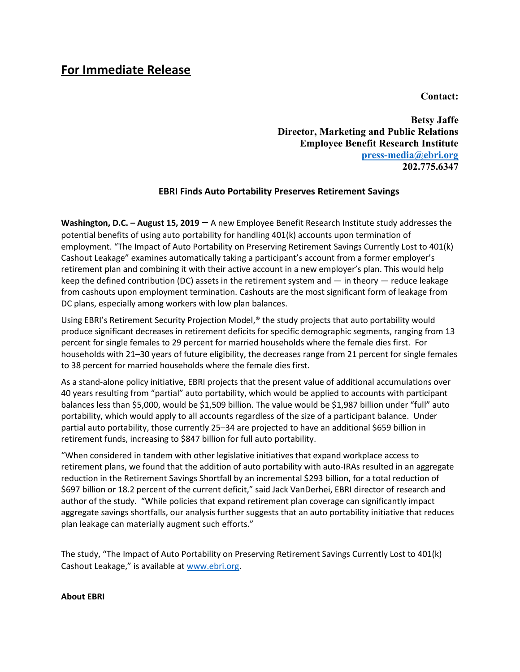## **For Immediate Release**

**Contact:** 

**Betsy Jaffe Director, Marketing and Public Relations Employee Benefit Research Institute [press-media@ebri.org](mailto:press-media@ebri.org) 202.775.6347**

## **EBRI Finds Auto Portability Preserves Retirement Savings**

**Washington, D.C. – August 15, 2019 –** A new Employee Benefit Research Institute study addresses the potential benefits of using auto portability for handling 401(k) accounts upon termination of employment. "The Impact of Auto Portability on Preserving Retirement Savings Currently Lost to 401(k) Cashout Leakage" examines automatically taking a participant's account from a former employer's retirement plan and combining it with their active account in a new employer's plan. This would help keep the defined contribution (DC) assets in the retirement system and — in theory — reduce leakage from cashouts upon employment termination. Cashouts are the most significant form of leakage from DC plans, especially among workers with low plan balances.

Using EBRI's Retirement Security Projection Model,® the study projects that auto portability would produce significant decreases in retirement deficits for specific demographic segments, ranging from 13 percent for single females to 29 percent for married households where the female dies first. For households with 21–30 years of future eligibility, the decreases range from 21 percent for single females to 38 percent for married households where the female dies first.

As a stand-alone policy initiative, EBRI projects that the present value of additional accumulations over 40 years resulting from "partial" auto portability, which would be applied to accounts with participant balances less than \$5,000, would be \$1,509 billion. The value would be \$1,987 billion under "full" auto portability, which would apply to all accounts regardless of the size of a participant balance. Under partial auto portability, those currently 25–34 are projected to have an additional \$659 billion in retirement funds, increasing to \$847 billion for full auto portability.

"When considered in tandem with other legislative initiatives that expand workplace access to retirement plans, we found that the addition of auto portability with auto-IRAs resulted in an aggregate reduction in the Retirement Savings Shortfall by an incremental \$293 billion, for a total reduction of \$697 billion or 18.2 percent of the current deficit," said Jack VanDerhei, EBRI director of research and author of the study. "While policies that expand retirement plan coverage can significantly impact aggregate savings shortfalls, our analysis further suggests that an auto portability initiative that reduces plan leakage can materially augment such efforts."

The study, "The Impact of Auto Portability on Preserving Retirement Savings Currently Lost to 401(k) Cashout Leakage," is available at [www.ebri.org.](http://www.ebri.org/)

## **About EBRI**